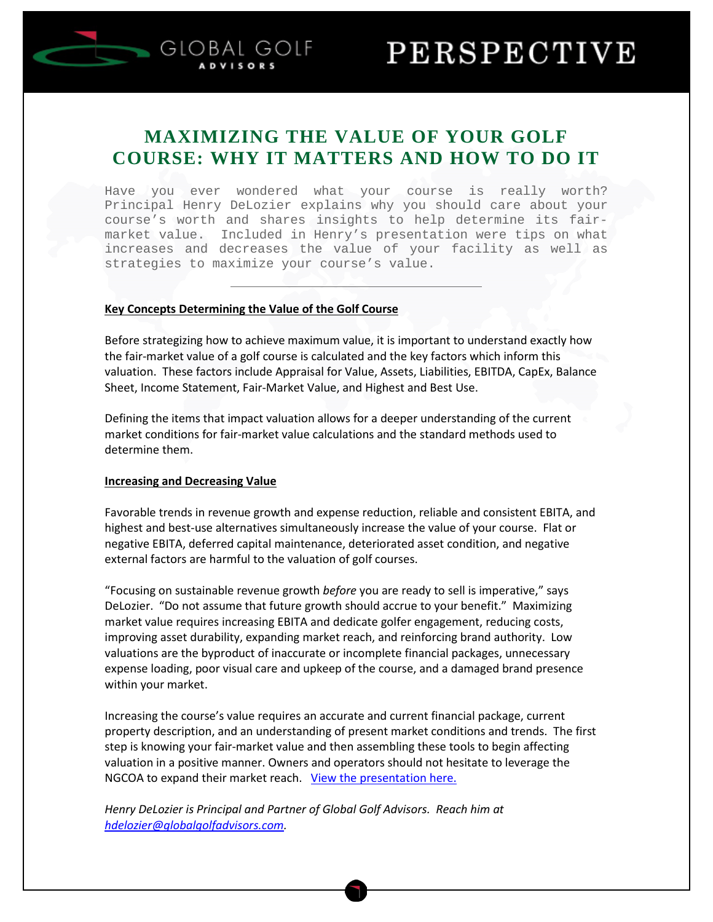

## **MAXIMIZING THE VALUE OF YOUR GOLF COURSE: WHY IT MATTERS AND HOW TO DO IT**

Have you ever wondered what your course is really worth? Principal Henry DeLozier explains why you should care about your course's worth and shares insights to help determine its fairmarket value. Included in Henry's presentation were tips on what increases and decreases the value of your facility as well as strategies to maximize your course's value.

#### **Key Concepts Determining the Value of the Golf Course**

**GLOBAL GOLF** 

Before strategizing how to achieve maximum value, it is important to understand exactly how the fair-market value of a golf course is calculated and the key factors which inform this valuation. These factors include Appraisal for Value, Assets, Liabilities, EBITDA, CapEx, Balance Sheet, Income Statement, Fair-Market Value, and Highest and Best Use.

Defining the items that impact valuation allows for a deeper understanding of the current market conditions for fair-market value calculations and the standard methods used to determine them.

#### **Increasing and Decreasing Value**

Favorable trends in revenue growth and expense reduction, reliable and consistent EBITA, and highest and best-use alternatives simultaneously increase the value of your course. Flat or negative EBITA, deferred capital maintenance, deteriorated asset condition, and negative external factors are harmful to the valuation of golf courses.

"Focusing on sustainable revenue growth *before* you are ready to sell is imperative," says DeLozier. "Do not assume that future growth should accrue to your benefit." Maximizing market value requires increasing EBITA and dedicate golfer engagement, reducing costs, improving asset durability, expanding market reach, and reinforcing brand authority. Low valuations are the byproduct of inaccurate or incomplete financial packages, unnecessary expense loading, poor visual care and upkeep of the course, and a damaged brand presence within your market.

Increasing the course's value requires an accurate and current financial package, current property description, and an understanding of present market conditions and trends. The first step is knowing your fair-market value and then assembling these tools to begin affecting valuation in a positive manner. Owners and operators should not hesitate to leverage the NGCOA to expand their market reach. [View the presentation here.](http://www.globalgolfadvisors.com/wp-content/uploads/2016/01/10-27-15-NGCOA-Webinar-Maximizing-the-Value-of-Your-Golf-Course.pdf)

*Henry DeLozier is Principal and Partner of Global Golf Advisors. Reach him at [hdelozier@globalgolfadvisors.com.](mailto:hdelozier@globalgolfadvisors.com)*